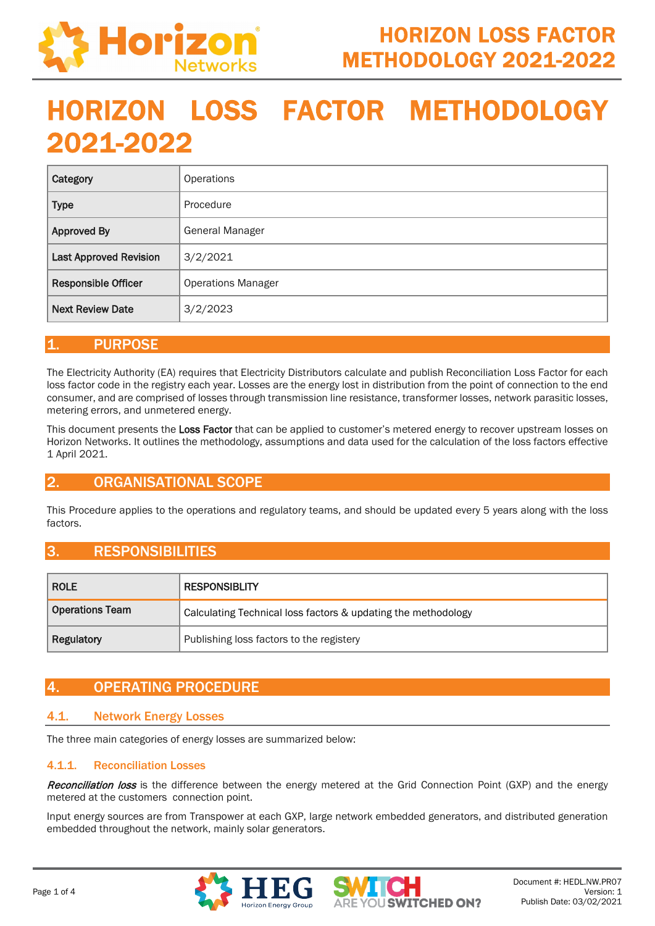

# HORIZON LOSS FACTOR METHODOLOGY 2021-2022

| Category                      | <b>Operations</b>         |
|-------------------------------|---------------------------|
| <b>Type</b>                   | Procedure                 |
| <b>Approved By</b>            | <b>General Manager</b>    |
| <b>Last Approved Revision</b> | 3/2/2021                  |
| <b>Responsible Officer</b>    | <b>Operations Manager</b> |
| <b>Next Review Date</b>       | 3/2/2023                  |

## 1. PURPOSE

The Electricity Authority (EA) requires that Electricity Distributors calculate and publish Reconciliation Loss Factor for each loss factor code in the registry each year. Losses are the energy lost in distribution from the point of connection to the end consumer, and are comprised of losses through transmission line resistance, transformer losses, network parasitic losses, metering errors, and unmetered energy.

This document presents the Loss Factor that can be applied to customer's metered energy to recover upstream losses on Horizon Networks. It outlines the methodology, assumptions and data used for the calculation of the loss factors effective 1 April 2021.

## 2. ORGANISATIONAL SCOPE

This Procedure applies to the operations and regulatory teams, and should be updated every 5 years along with the loss factors.

## 3. RESPONSIBILITIES

| <b>ROLE</b>            | <b>RESPONSIBLITY</b>                                          |  |
|------------------------|---------------------------------------------------------------|--|
| <b>Operations Team</b> | Calculating Technical loss factors & updating the methodology |  |
| Regulatory             | Publishing loss factors to the registery                      |  |

# 4. OPERATING PROCEDURE

## 4.1. Network Energy Losses

The three main categories of energy losses are summarized below:

#### 4.1.1. Reconciliation Losses

Reconciliation loss is the difference between the energy metered at the Grid Connection Point (GXP) and the energy metered at the customers connection point.

Input energy sources are from Transpower at each GXP, large network embedded generators, and distributed generation embedded throughout the network, mainly solar generators.



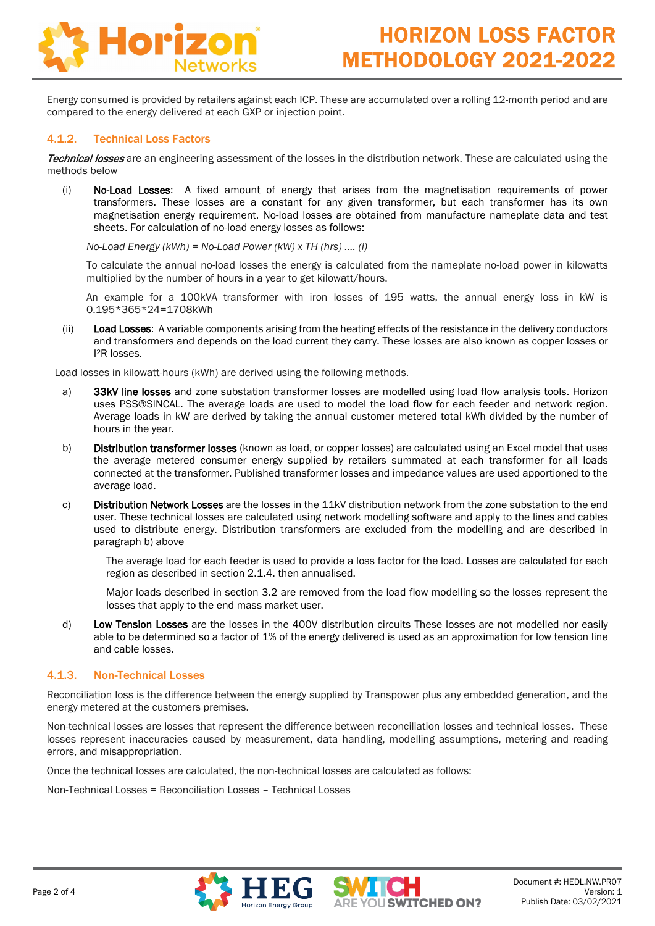

Energy consumed is provided by retailers against each ICP. These are accumulated over a rolling 12-month period and are compared to the energy delivered at each GXP or injection point.

#### 4.1.2. Technical Loss Factors

Technical losses are an engineering assessment of the losses in the distribution network. These are calculated using the methods below

(i) No-Load Losses: A fixed amount of energy that arises from the magnetisation requirements of power transformers. These losses are a constant for any given transformer, but each transformer has its own magnetisation energy requirement. No-load losses are obtained from manufacture nameplate data and test sheets. For calculation of no-load energy losses as follows:

*No-Load Energy (kWh) = No-Load Power (kW) x TH (hrs) …. (i)*

To calculate the annual no-load losses the energy is calculated from the nameplate no-load power in kilowatts multiplied by the number of hours in a year to get kilowatt/hours.

An example for a 100kVA transformer with iron losses of 195 watts, the annual energy loss in kW is 0.195\*365\*24=1708kWh

(ii) Load Losses: A variable components arising from the heating effects of the resistance in the delivery conductors and transformers and depends on the load current they carry. These losses are also known as copper losses or I 2R losses.

Load losses in kilowatt-hours (kWh) are derived using the following methods.

- a) 33kV line losses and zone substation transformer losses are modelled using load flow analysis tools. Horizon uses PSS®SINCAL. The average loads are used to model the load flow for each feeder and network region. Average loads in kW are derived by taking the annual customer metered total kWh divided by the number of hours in the year.
- <span id="page-1-0"></span>b) Distribution transformer losses (known as load, or copper losses) are calculated using an Excel model that uses the average metered consumer energy supplied by retailers summated at each transformer for all loads connected at the transformer. Published transformer losses and impedance values are used apportioned to the average load.
- c) Distribution Network Losses are the losses in the 11kV distribution network from the zone substation to the end user. These technical losses are calculated using network modelling software and apply to the lines and cables used to distribute energy. Distribution transformers are excluded from the modelling and are described in paragraph [b\)](#page-1-0) above

The average load for each feeder is used to provide a loss factor for the load. Losses are calculated for each region as described in section 2.1.4. then annualised.

Major loads described in section 3.2 are removed from the load flow modelling so the losses represent the losses that apply to the end mass market user.

d) Low Tension Losses are the losses in the 400V distribution circuits These losses are not modelled nor easily able to be determined so a factor of 1% of the energy delivered is used as an approximation for low tension line and cable losses.

#### 4.1.3. Non-Technical Losses

Reconciliation loss is the difference between the energy supplied by Transpower plus any embedded generation, and the energy metered at the customers premises.

Non-technical losses are losses that represent the difference between reconciliation losses and technical losses. These losses represent inaccuracies caused by measurement, data handling, modelling assumptions, metering and reading errors, and misappropriation.

Once the technical losses are calculated, the non-technical losses are calculated as follows:

Non-Technical Losses = Reconciliation Losses – Technical Losses



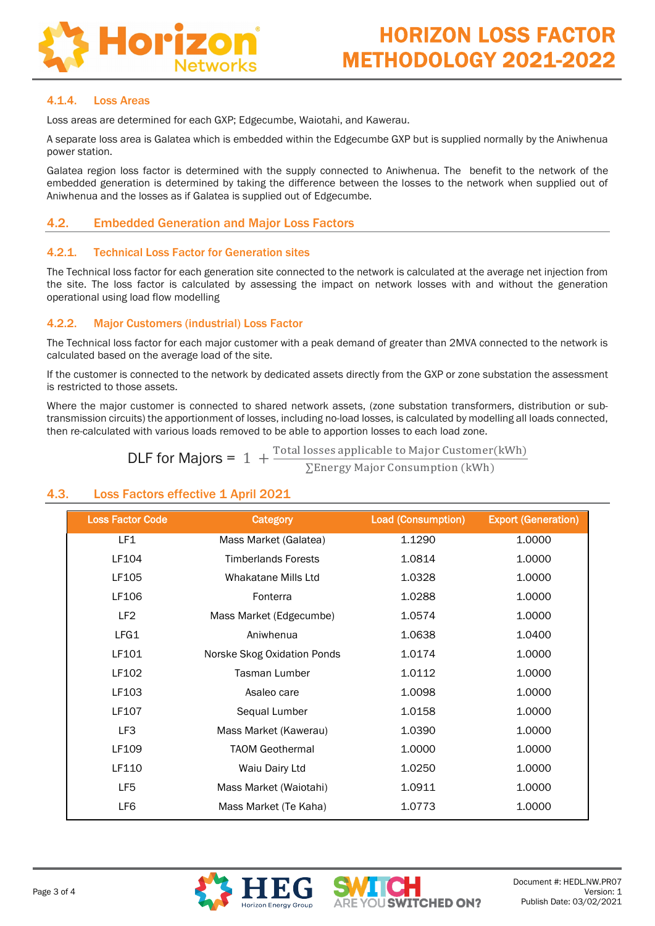

#### 4.1.4. Loss Areas

Loss areas are determined for each GXP; Edgecumbe, Waiotahi, and Kawerau.

A separate loss area is Galatea which is embedded within the Edgecumbe GXP but is supplied normally by the Aniwhenua power station.

Galatea region loss factor is determined with the supply connected to Aniwhenua. The benefit to the network of the embedded generation is determined by taking the difference between the losses to the network when supplied out of Aniwhenua and the losses as if Galatea is supplied out of Edgecumbe.

## 4.2. Embedded Generation and Major Loss Factors

#### 4.2.1. Technical Loss Factor for Generation sites

The Technical loss factor for each generation site connected to the network is calculated at the average net injection from the site. The loss factor is calculated by assessing the impact on network losses with and without the generation operational using load flow modelling

#### 4.2.2. Major Customers (industrial) Loss Factor

The Technical loss factor for each major customer with a peak demand of greater than 2MVA connected to the network is calculated based on the average load of the site.

If the customer is connected to the network by dedicated assets directly from the GXP or zone substation the assessment is restricted to those assets.

Where the major customer is connected to shared network assets, (zone substation transformers, distribution or subtransmission circuits) the apportionment of losses, including no-load losses, is calculated by modelling all loads connected, then re-calculated with various loads removed to be able to apportion losses to each load zone.

**DLF for Majors =**  $1 + \frac{\text{Total losses applicable to Major Customer} (kWh)}{\sum \text{Energy Major Consumption} (kWh)}$ 

## 4.3. Loss Factors effective 1 April 2021

| <b>Loss Factor Code</b> | <b>Category</b>             | <b>Load (Consumption)</b> | <b>Export (Generation)</b> |
|-------------------------|-----------------------------|---------------------------|----------------------------|
| LF1                     | Mass Market (Galatea)       | 1.1290                    | 1.0000                     |
| LF104                   | <b>Timberlands Forests</b>  | 1.0814                    | 1.0000                     |
| LF105                   | Whakatane Mills Ltd         | 1.0328                    | 1.0000                     |
| LF106                   | Fonterra                    | 1.0288                    | 1.0000                     |
| LF <sub>2</sub>         | Mass Market (Edgecumbe)     | 1.0574                    | 1.0000                     |
| LFG1                    | Aniwhenua                   | 1.0638                    | 1.0400                     |
| LF101                   | Norske Skog Oxidation Ponds | 1.0174                    | 1.0000                     |
| LF102                   | Tasman Lumber               | 1.0112                    | 1.0000                     |
| LF103                   | Asaleo care                 | 1.0098                    | 1.0000                     |
| LF107                   | Sequal Lumber               | 1.0158                    | 1.0000                     |
| LF3                     | Mass Market (Kawerau)       | 1.0390                    | 1.0000                     |
| LF109                   | <b>TAOM Geothermal</b>      | 1.0000                    | 1.0000                     |
| LF110                   | Waiu Dairy Ltd              | 1.0250                    | 1.0000                     |
| LF5                     | Mass Market (Waiotahi)      | 1.0911                    | 1.0000                     |
| LF6                     | Mass Market (Te Kaha)       | 1.0773                    | 1.0000                     |